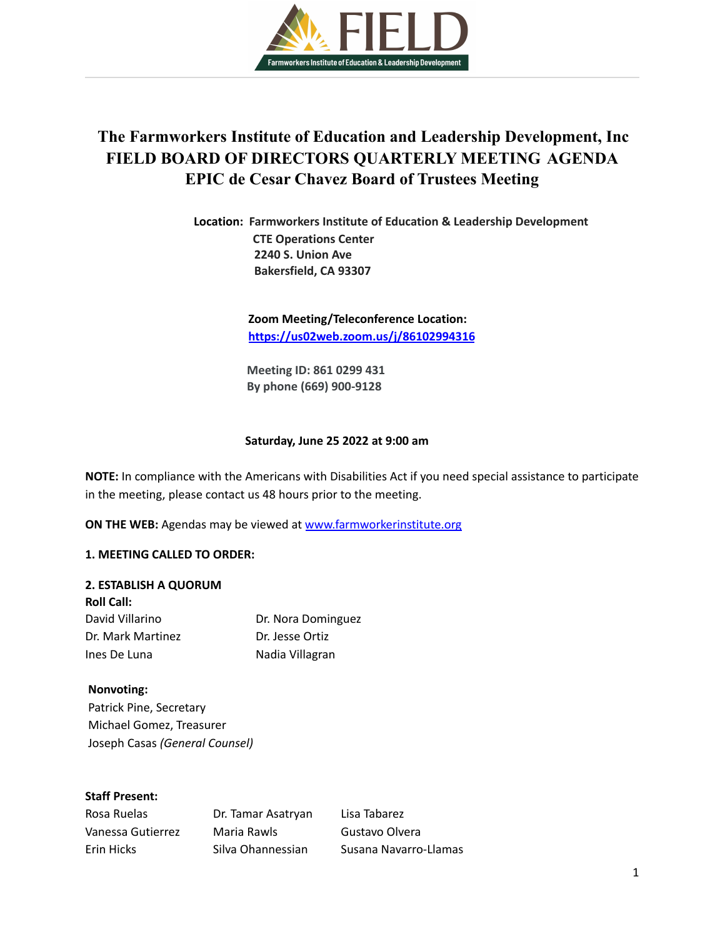

# **The Farmworkers Institute of Education and Leadership Development, Inc FIELD BOARD OF DIRECTORS QUARTERLY MEETING AGENDA EPIC de Cesar Chavez Board of Trustees Meeting**

**Location: Farmworkers Institute of Education & Leadership Development CTE Operations Center 2240 S. Union Ave Bakersfield, CA 93307**

> **Zoom Meeting/Teleconference Location: <https://us02web.zoom.us/j/86102994316>**

**Meeting ID: 861 0299 431 By phone (669) 900-9128**

#### **Saturday, June 25 2022 at 9:00 am**

**NOTE:** In compliance with the Americans with Disabilities Act if you need special assistance to participate in the meeting, please contact us 48 hours prior to the meeting.

**ON THE WEB:** Agendas may be viewed at [www.farmworkerinstitute.org](http://www.farmworkerinstitute.org)

#### **1. MEETING CALLED TO ORDER:**

#### **2. ESTABLISH A QUORUM**

| <b>Roll Call:</b> |                    |
|-------------------|--------------------|
| David Villarino   | Dr. Nora Dominguez |
| Dr. Mark Martinez | Dr. Jesse Ortiz    |
| Ines De Luna      | Nadia Villagran    |

#### **Nonvoting:**

Patrick Pine, Secretary Michael Gomez, Treasurer Joseph Casas *(General Counsel)*

## **Staff Present:**

| Rosa Ruelas       | Dr. Tamar Asatryan | Lisa Tabarez          |
|-------------------|--------------------|-----------------------|
| Vanessa Gutierrez | Maria Rawls        | Gustavo Olvera        |
| Erin Hicks        | Silva Ohannessian  | Susana Navarro-Llamas |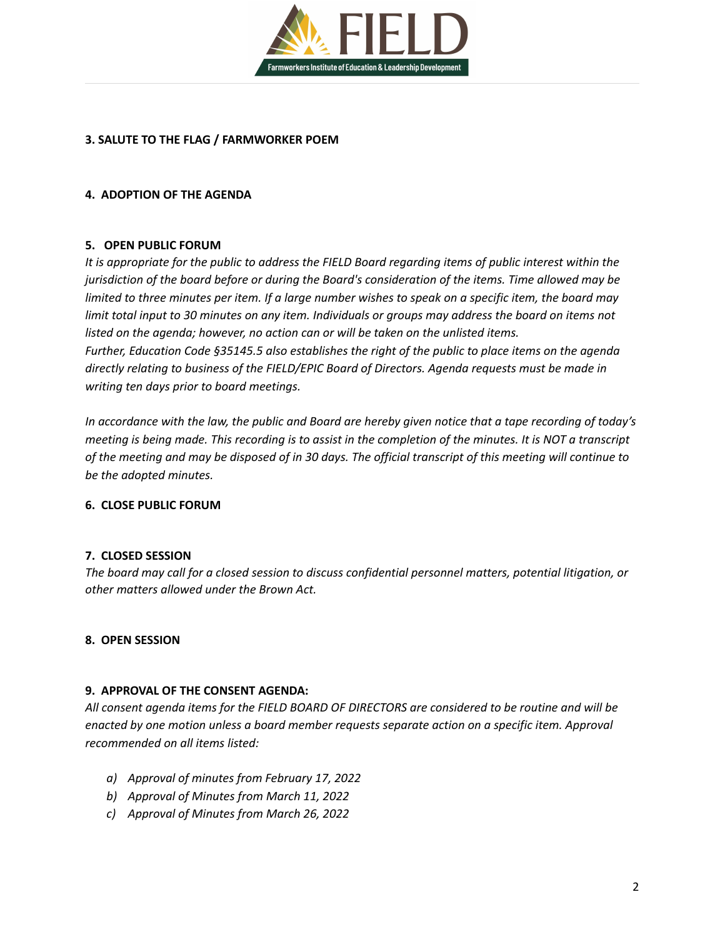

## **3. SALUTE TO THE FLAG / FARMWORKER POEM**

## **4. ADOPTION OF THE AGENDA**

## **5. OPEN PUBLIC FORUM**

It is appropriate for the public to address the FIELD Board regarding items of public interest within the *jurisdiction of the board before or during the Board's consideration of the items. Time allowed may be* limited to three minutes per item. If a large number wishes to speak on a specific item, the board may limit total input to 30 minutes on any item. Individuals or groups may address the board on items not *listed on the agenda; however, no action can or will be taken on the unlisted items. Further, Education Code §35145.5 also establishes the right of the public to place items on the agenda directly relating to business of the FIELD/EPIC Board of Directors. Agenda requests must be made in writing ten days prior to board meetings.*

In accordance with the law, the public and Board are hereby given notice that a tape recording of today's meeting is being made. This recording is to assist in the completion of the minutes. It is NOT a transcript of the meeting and may be disposed of in 30 days. The official transcript of this meeting will continue to *be the adopted minutes.*

## **6. CLOSE PUBLIC FORUM**

## **7. CLOSED SESSION**

*The board may call for a closed session to discuss confidential personnel matters, potential litigation, or other matters allowed under the Brown Act.*

## **8. OPEN SESSION**

## **9. APPROVAL OF THE CONSENT AGENDA:**

*All consent agenda items for the FIELD BOARD OF DIRECTORS are considered to be routine and will be enacted by one motion unless a board member requests separate action on a specific item. Approval recommended on all items listed:*

- *a) Approval of minutes from February 17, 2022*
- *b) Approval of Minutes from March 11, 2022*
- *c) Approval of Minutes from March 26, 2022*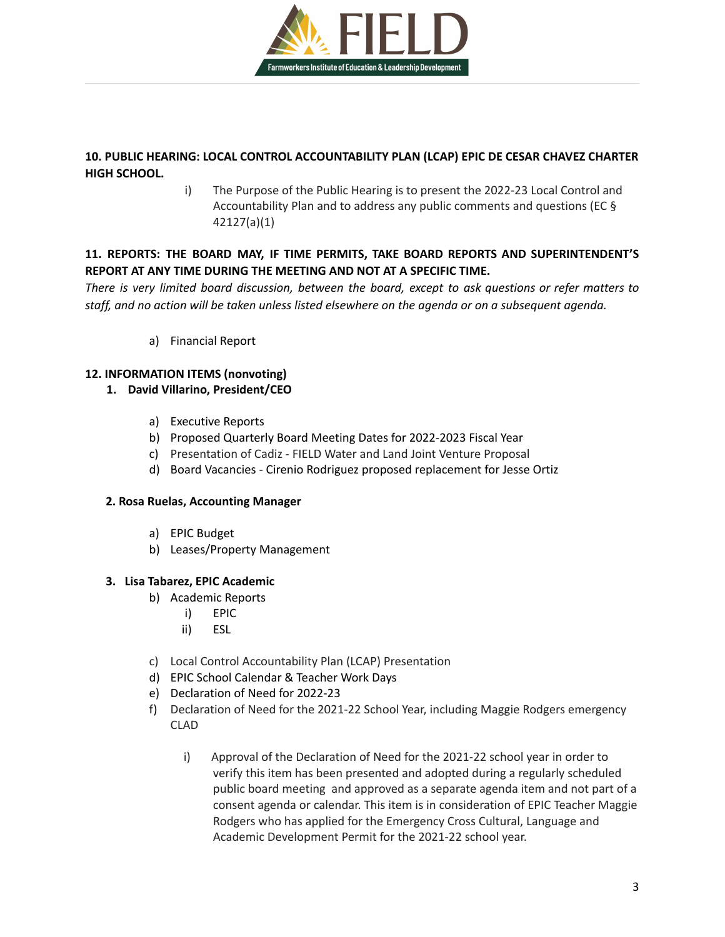

## **10. PUBLIC HEARING: LOCAL CONTROL ACCOUNTABILITY PLAN (LCAP) EPIC DE CESAR CHAVEZ CHARTER HIGH SCHOOL.**

i) The Purpose of the Public Hearing is to present the 2022-23 Local Control and Accountability Plan and to address any public comments and questions (EC § 42127(a)(1)

# **11. REPORTS: THE BOARD MAY, IF TIME PERMITS, TAKE BOARD REPORTS AND SUPERINTENDENT'S REPORT AT ANY TIME DURING THE MEETING AND NOT AT A SPECIFIC TIME.**

*There is very limited board discussion, between the board, except to ask questions or refer matters to* staff, and no action will be taken unless listed elsewhere on the agenda or on a subsequent agenda.

a) Financial Report

# **12. INFORMATION ITEMS (nonvoting)**

## **1. David Villarino, President/CEO**

- a) Executive Reports
- b) Proposed Quarterly Board Meeting Dates for 2022-2023 Fiscal Year
- c) Presentation of Cadiz FIELD Water and Land Joint Venture Proposal
- d) Board Vacancies Cirenio Rodriguez proposed replacement for Jesse Ortiz

## **2. Rosa Ruelas, Accounting Manager**

- a) EPIC Budget
- b) Leases/Property Management

## **3. Lisa Tabarez, EPIC Academic**

- b) Academic Reports
	- i) EPIC
	- ii) ESL
- c) Local Control Accountability Plan (LCAP) Presentation
- d) EPIC School Calendar & Teacher Work Days
- e) Declaration of Need for 2022-23
- f) Declaration of Need for the 2021-22 School Year, including Maggie Rodgers emergency CLAD
	- i) Approval of the Declaration of Need for the 2021-22 school year in order to verify this item has been presented and adopted during a regularly scheduled public board meeting and approved as a separate agenda item and not part of a consent agenda or calendar. This item is in consideration of EPIC Teacher Maggie Rodgers who has applied for the Emergency Cross Cultural, Language and Academic Development Permit for the 2021-22 school year.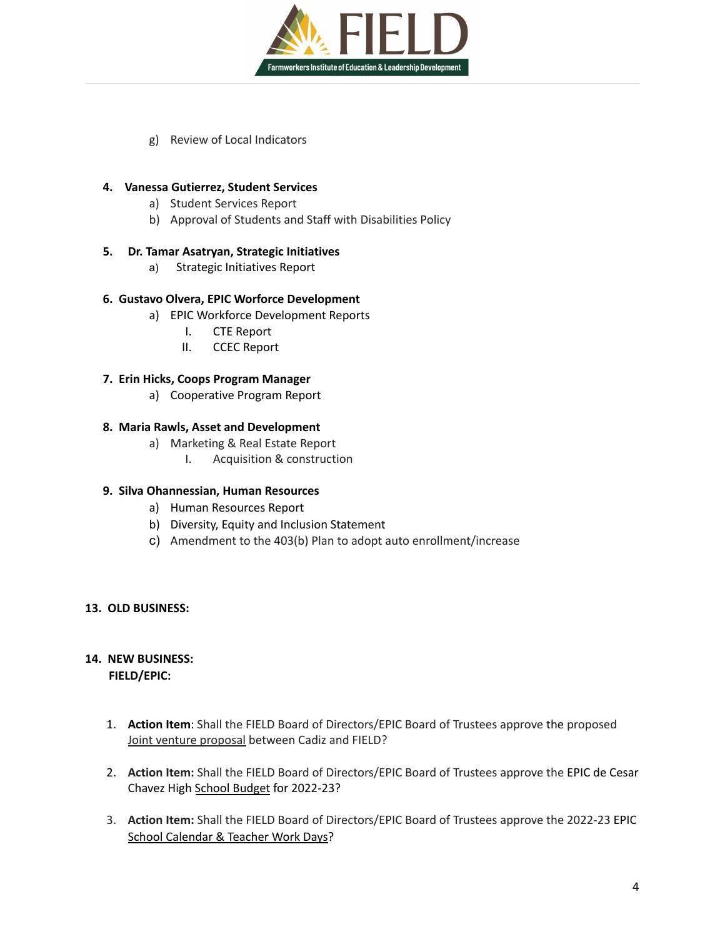

g) Review of Local Indicators

## **4. Vanessa Gutierrez, Student Services**

- a) Student Services Report
- b) Approval of Students and Staff with Disabilities Policy

## **5. Dr. Tamar Asatryan, Strategic Initiatives**

a) Strategic Initiatives Report

## **6. Gustavo Olvera, EPIC Worforce Development**

- a) EPIC Workforce Development Reports
	- I. CTE Report
	- II. CCEC Report

## **7. Erin Hicks, Coops Program Manager**

a) Cooperative Program Report

## **8. Maria Rawls, Asset and Development**

- a) Marketing & Real Estate Report
	- I. Acquisition & construction

## **9. Silva Ohannessian, Human Resources**

- a) Human Resources Report
- b) Diversity, Equity and Inclusion Statement
- c) Amendment to the 403(b) Plan to adopt auto enrollment/increase

## **13. OLD BUSINESS:**

# **14. NEW BUSINESS:**

**FIELD/EPIC:**

- 1. **Action Item**: Shall the FIELD Board of Directors/EPIC Board of Trustees approve the proposed Joint venture proposal between Cadiz and FIELD?
- 2. **Action Item:** Shall the FIELD Board of Directors/EPIC Board of Trustees approve the EPIC de Cesar Chavez High School Budget for 2022-23?
- 3. **Action Item:** Shall the FIELD Board of Directors/EPIC Board of Trustees approve the 2022-23 EPIC School Calendar & Teacher Work Days?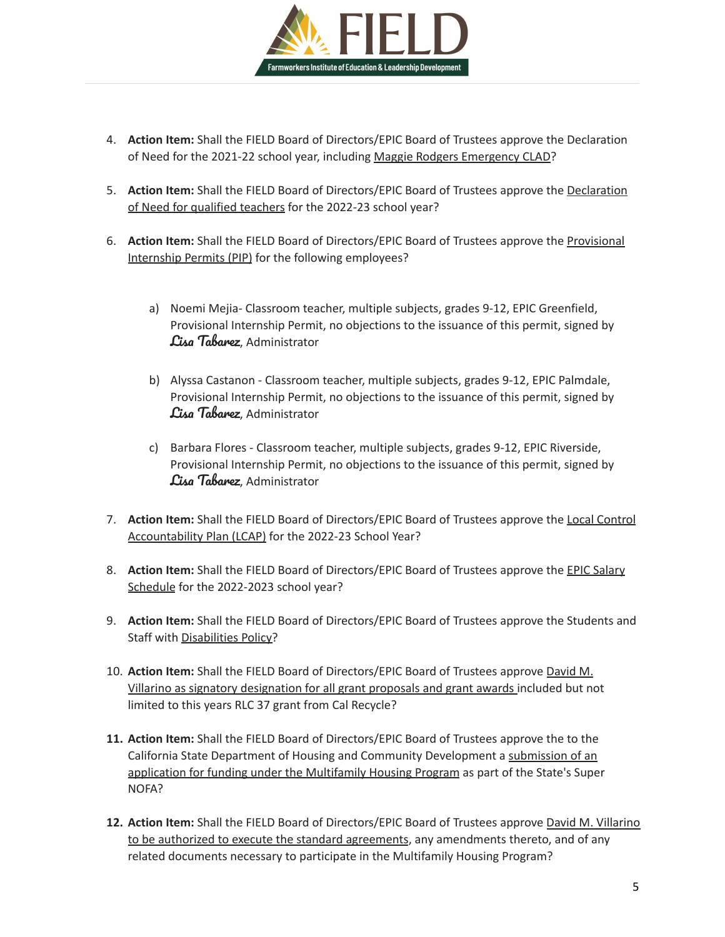

- 4. **Action Item:** Shall the FIELD Board of Directors/EPIC Board of Trustees approve the Declaration of Need for the 2021-22 school year, including Maggie Rodgers Emergency CLAD?
- 5. **Action Item:** Shall the FIELD Board of Directors/EPIC Board of Trustees approve the Declaration of Need for qualified teachers for the 2022-23 school year?
- 6. **Action Item:** Shall the FIELD Board of Directors/EPIC Board of Trustees approve the Provisional Internship Permits (PIP) for the following employees?
	- a) Noemi Mejia- Classroom teacher, multiple subjects, grades 9-12, EPIC Greenfield, Provisional Internship Permit, no objections to the issuance of this permit, signed by Lisa Tabarez, Administrator
	- b) Alyssa Castanon Classroom teacher, multiple subjects, grades 9-12, EPIC Palmdale, Provisional Internship Permit, no objections to the issuance of this permit, signed by Lisa Tabarez, Administrator
	- c) Barbara Flores Classroom teacher, multiple subjects, grades 9-12, EPIC Riverside, Provisional Internship Permit, no objections to the issuance of this permit, signed by Lisa Tabarez, Administrator
- 7. **Action Item:** Shall the FIELD Board of Directors/EPIC Board of Trustees approve the Local Control Accountability Plan (LCAP) for the 2022-23 School Year?
- 8. Action Item: Shall the FIELD Board of Directors/EPIC Board of Trustees approve the **EPIC Salary** Schedule for the 2022-2023 school year?
- 9. **Action Item:** Shall the FIELD Board of Directors/EPIC Board of Trustees approve the Students and Staff with Disabilities Policy?
- 10. **Action Item:** Shall the FIELD Board of Directors/EPIC Board of Trustees approve David M. Villarino as signatory designation for all grant proposals and grant awards included but not limited to this years RLC 37 grant from Cal Recycle?
- **11. Action Item:** Shall the FIELD Board of Directors/EPIC Board of Trustees approve the to the California State Department of Housing and Community Development a submission of an application for funding under the Multifamily Housing Program as part of the State's Super NOFA?
- **12. Action Item:** Shall the FIELD Board of Directors/EPIC Board of Trustees approve David M. Villarino to be authorized to execute the standard agreements, any amendments thereto, and of any related documents necessary to participate in the Multifamily Housing Program?